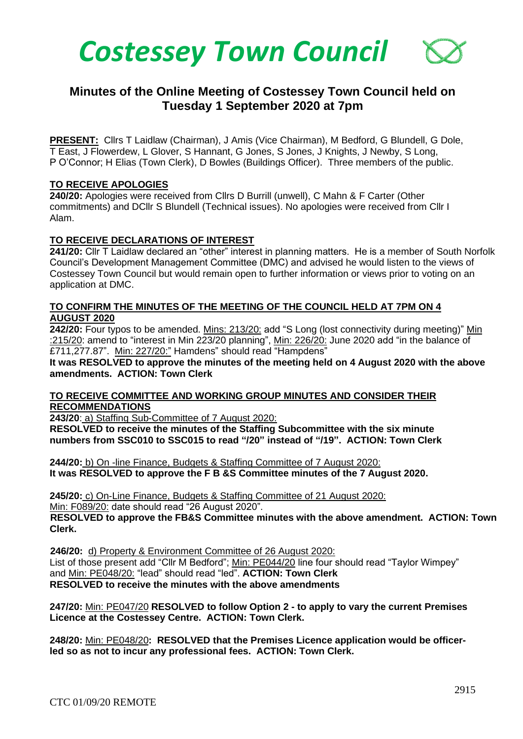

# **Minutes of the Online Meeting of Costessey Town Council held on Tuesday 1 September 2020 at 7pm**

**PRESENT:** Cllrs T Laidlaw (Chairman), J Amis (Vice Chairman), M Bedford, G Blundell, G Dole, T East, J Flowerdew, L Glover, S Hannant, G Jones, S Jones, J Knights, J Newby, S Long, P O'Connor; H Elias (Town Clerk), D Bowles (Buildings Officer). Three members of the public.

#### **TO RECEIVE APOLOGIES**

**240/20:** Apologies were received from Cllrs D Burrill (unwell), C Mahn & F Carter (Other commitments) and DCllr S Blundell (Technical issues). No apologies were received from Cllr I Alam.

#### **TO RECEIVE DECLARATIONS OF INTEREST**

**241/20:** Cllr T Laidlaw declared an "other" interest in planning matters. He is a member of South Norfolk Council's Development Management Committee (DMC) and advised he would listen to the views of Costessey Town Council but would remain open to further information or views prior to voting on an application at DMC.

#### **TO CONFIRM THE MINUTES OF THE MEETING OF THE COUNCIL HELD AT 7PM ON 4 AUGUST 2020**

**242/20:** Four typos to be amended. Mins: 213/20: add "S Long (lost connectivity during meeting)" Min :215/20: amend to "interest in Min 223/20 planning", Min: 226/20: June 2020 add "in the balance of £711,277.87". Min: 227/20:" Hamdens" should read "Hampdens"

**It was RESOLVED to approve the minutes of the meeting held on 4 August 2020 with the above amendments. ACTION: Town Clerk**

#### **TO RECEIVE COMMITTEE AND WORKING GROUP MINUTES AND CONSIDER THEIR RECOMMENDATIONS**

**243/20**: a) Staffing Sub-Committee of 7 August 2020:

**RESOLVED to receive the minutes of the Staffing Subcommittee with the six minute numbers from SSC010 to SSC015 to read "/20" instead of "/19". ACTION: Town Clerk**

**244/20:** b) On -line Finance, Budgets & Staffing Committee of 7 August 2020: **It was RESOLVED to approve the F B &S Committee minutes of the 7 August 2020.** 

**245/20:** c) On-Line Finance, Budgets & Staffing Committee of 21 August 2020:

Min: F089/20: date should read "26 August 2020".

 **RESOLVED to approve the FB&S Committee minutes with the above amendment. ACTION: Town Clerk.**

 **246/20:** d) Property & Environment Committee of 26 August 2020: List of those present add "Cllr M Bedford"; Min: PE044/20 line four should read "Taylor Wimpey" and Min: PE048/20: "lead" should read "led". **ACTION: Town Clerk RESOLVED to receive the minutes with the above amendments**

**247/20:** Min: PE047/20 **RESOLVED to follow Option 2 - to apply to vary the current Premises Licence at the Costessey Centre. ACTION: Town Clerk.**

**248/20:** Min: PE048/20**: RESOLVED that the Premises Licence application would be officerled so as not to incur any professional fees. ACTION: Town Clerk.**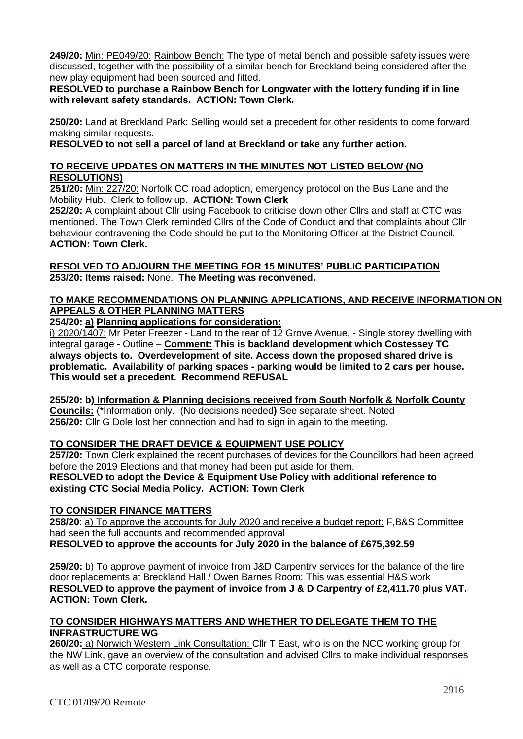**249/20:** Min: PE049/20: Rainbow Bench: The type of metal bench and possible safety issues were discussed, together with the possibility of a similar bench for Breckland being considered after the new play equipment had been sourced and fitted.

**RESOLVED to purchase a Rainbow Bench for Longwater with the lottery funding if in line with relevant safety standards. ACTION: Town Clerk.**

**250/20:** Land at Breckland Park: Selling would set a precedent for other residents to come forward making similar requests.

**RESOLVED to not sell a parcel of land at Breckland or take any further action.** 

#### **TO RECEIVE UPDATES ON MATTERS IN THE MINUTES NOT LISTED BELOW (NO RESOLUTIONS)**

 **251/20:** Min: 227/20: Norfolk CC road adoption, emergency protocol on the Bus Lane and the Mobility Hub. Clerk to follow up. **ACTION: Town Clerk**

**252/20:** A complaint about Cllr using Facebook to criticise down other Cllrs and staff at CTC was mentioned. The Town Clerk reminded Cllrs of the Code of Conduct and that complaints about Cllr behaviour contravening the Code should be put to the Monitoring Officer at the District Council. **ACTION: Town Clerk.**

#### **RESOLVED TO ADJOURN THE MEETING FOR 15 MINUTES' PUBLIC PARTICIPATION 253/20: Items raised:** None. **The Meeting was reconvened.**

## **TO MAKE RECOMMENDATIONS ON PLANNING APPLICATIONS, AND RECEIVE INFORMATION ON APPEALS & OTHER PLANNING MATTERS**

**254/20: a) Planning applications for consideration:**

i) 2020/1407: Mr Peter Freezer - Land to the rear of 12 Grove Avenue, - Single storey dwelling with integral garage - Outline – **Comment: This is backland development which Costessey TC always objects to. Overdevelopment of site. Access down the proposed shared drive is problematic. Availability of parking spaces - parking would be limited to 2 cars per house. This would set a precedent. Recommend REFUSAL**

**255/20: b) Information & Planning decisions received from South Norfolk & Norfolk County Councils:** (\*Information only. (No decisions needed**)** See separate sheet. Noted **256/20:** Cllr G Dole lost her connection and had to sign in again to the meeting.

# **TO CONSIDER THE DRAFT DEVICE & EQUIPMENT USE POLICY**

**257/20:** Town Clerk explained the recent purchases of devices for the Councillors had been agreed before the 2019 Elections and that money had been put aside for them. **RESOLVED to adopt the Device & Equipment Use Policy with additional reference to existing CTC Social Media Policy. ACTION: Town Clerk**

#### **TO CONSIDER FINANCE MATTERS**

**258/20**: a) To approve the accounts for July 2020 and receive a budget report: F,B&S Committee had seen the full accounts and recommended approval **RESOLVED to approve the accounts for July 2020 in the balance of £675,392.59**

**259/20:** b) To approve payment of invoice from J&D Carpentry services for the balance of the fire door replacements at Breckland Hall / Owen Barnes Room: This was essential H&S work **RESOLVED to approve the payment of invoice from J & D Carpentry of £2,411.70 plus VAT. ACTION: Town Clerk.**

#### **TO CONSIDER HIGHWAYS MATTERS AND WHETHER TO DELEGATE THEM TO THE INFRASTRUCTURE WG**

**260/20:** a) Norwich Western Link Consultation: Cllr T East, who is on the NCC working group for the NW Link, gave an overview of the consultation and advised Cllrs to make individual responses as well as a CTC corporate response.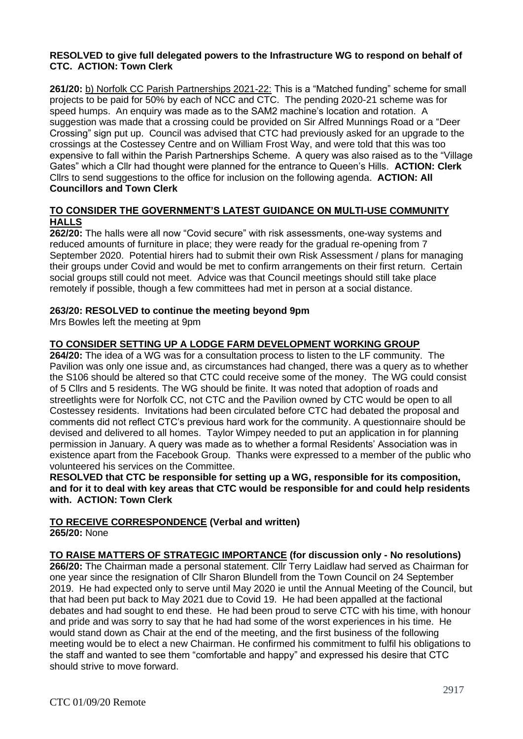#### **RESOLVED to give full delegated powers to the Infrastructure WG to respond on behalf of CTC. ACTION: Town Clerk**

**261/20:** b) Norfolk CC Parish Partnerships 2021-22: This is a "Matched funding" scheme for small projects to be paid for 50% by each of NCC and CTC. The pending 2020-21 scheme was for speed humps. An enquiry was made as to the SAM2 machine's location and rotation. A suggestion was made that a crossing could be provided on Sir Alfred Munnings Road or a "Deer Crossing" sign put up. Council was advised that CTC had previously asked for an upgrade to the crossings at the Costessey Centre and on William Frost Way, and were told that this was too expensive to fall within the Parish Partnerships Scheme. A query was also raised as to the "Village Gates" which a Cllr had thought were planned for the entrance to Queen's Hills. **ACTION: Clerk** Cllrs to send suggestions to the office for inclusion on the following agenda. **ACTION: All Councillors and Town Clerk**

#### **TO CONSIDER THE GOVERNMENT'S LATEST GUIDANCE ON MULTI-USE COMMUNITY HALLS**

**262/20:** The halls were all now "Covid secure" with risk assessments, one-way systems and reduced amounts of furniture in place; they were ready for the gradual re-opening from 7 September 2020. Potential hirers had to submit their own Risk Assessment / plans for managing their groups under Covid and would be met to confirm arrangements on their first return. Certain social groups still could not meet. Advice was that Council meetings should still take place remotely if possible, though a few committees had met in person at a social distance.

### **263/20: RESOLVED to continue the meeting beyond 9pm**

Mrs Bowles left the meeting at 9pm

# **TO CONSIDER SETTING UP A LODGE FARM DEVELOPMENT WORKING GROUP**

**264/20:** The idea of a WG was for a consultation process to listen to the LF community. The Pavilion was only one issue and, as circumstances had changed, there was a query as to whether the S106 should be altered so that CTC could receive some of the money. The WG could consist of 5 Cllrs and 5 residents. The WG should be finite. It was noted that adoption of roads and streetlights were for Norfolk CC, not CTC and the Pavilion owned by CTC would be open to all Costessey residents. Invitations had been circulated before CTC had debated the proposal and comments did not reflect CTC's previous hard work for the community. A questionnaire should be devised and delivered to all homes. Taylor Wimpey needed to put an application in for planning permission in January. A query was made as to whether a formal Residents' Association was in existence apart from the Facebook Group. Thanks were expressed to a member of the public who volunteered his services on the Committee.

**RESOLVED that CTC be responsible for setting up a WG, responsible for its composition, and for it to deal with key areas that CTC would be responsible for and could help residents with. ACTION: Town Clerk** 

# **TO RECEIVE CORRESPONDENCE (Verbal and written)**

**265/20:** None

#### **TO RAISE MATTERS OF STRATEGIC IMPORTANCE (for discussion only - No resolutions)**

**266/20:** The Chairman made a personal statement. Cllr Terry Laidlaw had served as Chairman for one year since the resignation of Cllr Sharon Blundell from the Town Council on 24 September 2019. He had expected only to serve until May 2020 ie until the Annual Meeting of the Council, but that had been put back to May 2021 due to Covid 19. He had been appalled at the factional debates and had sought to end these. He had been proud to serve CTC with his time, with honour and pride and was sorry to say that he had had some of the worst experiences in his time. He would stand down as Chair at the end of the meeting, and the first business of the following meeting would be to elect a new Chairman. He confirmed his commitment to fulfil his obligations to the staff and wanted to see them "comfortable and happy" and expressed his desire that CTC should strive to move forward.